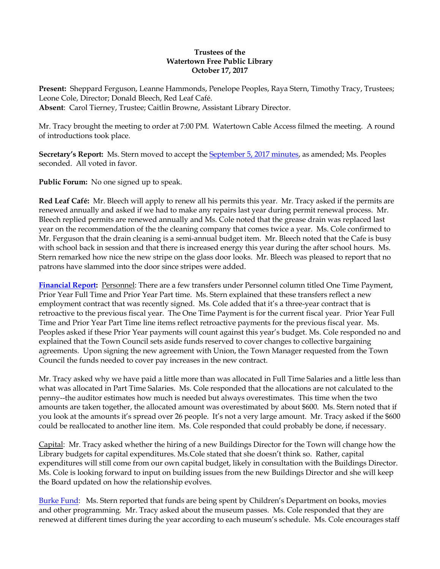## **Trustees of the Watertown Free Public Library October 17, 2017**

**Present:** Sheppard Ferguson, Leanne Hammonds, Penelope Peoples, Raya Stern, Timothy Tracy, Trustees; Leone Cole, Director; Donald Bleech, Red Leaf Café. **Absent**: Carol Tierney, Trustee; Caitlin Browne, Assistant Library Director.

Mr. Tracy brought the meeting to order at 7:00 PM. Watertown Cable Access filmed the meeting. A round of introductions took place.

Secretary's Report: Ms. Stern moved to accept the **September 5, 2017 minutes**, as amended; Ms. Peoples seconded. All voted in favor.

**Public Forum:** No one signed up to speak.

**Red Leaf Café:** Mr. Bleech will apply to renew all his permits this year. Mr. Tracy asked if the permits are renewed annually and asked if we had to make any repairs last year during permit renewal process. Mr. Bleech replied permits are renewed annually and Ms. Cole noted that the grease drain was replaced last year on the recommendation of the the cleaning company that comes twice a year. Ms. Cole confirmed to Mr. Ferguson that the drain cleaning is a semi-annual budget item. Mr. Bleech noted that the Cafe is busy with school back in session and that there is increased energy this year during the after school hours. Ms. Stern remarked how nice the new stripe on the glass door looks. Mr. Bleech was pleased to report that no patrons have slammed into the door since stripes were added.

**[Financial Report:](http://ci.watertown.ma.us/DocumentCenter/View/23895)** Personnel: There are a few transfers under Personnel column titled One Time Payment, Prior Year Full Time and Prior Year Part time. Ms. Stern explained that these transfers reflect a new employment contract that was recently signed. Ms. Cole added that it's a three-year contract that is retroactive to the previous fiscal year. The One Time Payment is for the current fiscal year. Prior Year Full Time and Prior Year Part Time line items reflect retroactive payments for the previous fiscal year. Ms. Peoples asked if these Prior Year payments will count against this year's budget. Ms. Cole responded no and explained that the Town Council sets aside funds reserved to cover changes to collective bargaining agreements. Upon signing the new agreement with Union, the Town Manager requested from the Town Council the funds needed to cover pay increases in the new contract.

Mr. Tracy asked why we have paid a little more than was allocated in Full Time Salaries and a little less than what was allocated in Part Time Salaries. Ms. Cole responded that the allocations are not calculated to the penny--the auditor estimates how much is needed but always overestimates. This time when the two amounts are taken together, the allocated amount was overestimated by about \$600. Ms. Stern noted that if you look at the amounts it's spread over 26 people. It's not a very large amount. Mr. Tracy asked if the \$600 could be reallocated to another line item. Ms. Cole responded that could probably be done, if necessary.

Capital: Mr. Tracy asked whether the hiring of a new Buildings Director for the Town will change how the Library budgets for capital expenditures. Ms.Cole stated that she doesn't think so. Rather, capital expenditures will still come from our own capital budget, likely in consultation with the Buildings Director. Ms. Cole is looking forward to input on building issues from the new Buildings Director and she will keep the Board updated on how the relationship evolves.

[Burke Fund:](http://ci.watertown.ma.us/DocumentCenter/View/23894) Ms. Stern reported that funds are being spent by Children's Department on books, movies and other programming. Mr. Tracy asked about the museum passes. Ms. Cole responded that they are renewed at different times during the year according to each museum's schedule. Ms. Cole encourages staff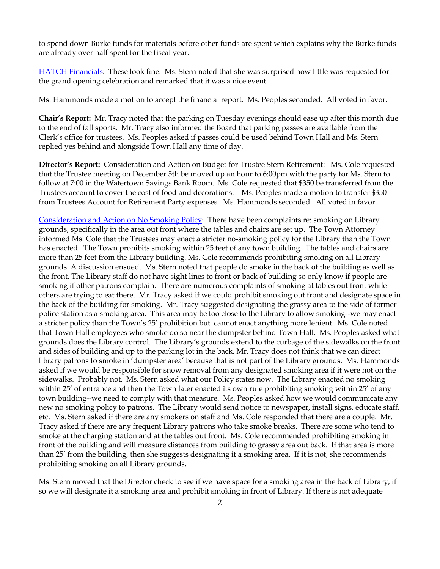to spend down Burke funds for materials before other funds are spent which explains why the Burke funds are already over half spent for the fiscal year.

[HATCH Financials:](http://ci.watertown.ma.us/DocumentCenter/View/23896) These look fine. Ms. Stern noted that she was surprised how little was requested for the grand opening celebration and remarked that it was a nice event.

Ms. Hammonds made a motion to accept the financial report. Ms. Peoples seconded. All voted in favor.

**Chair's Report:** Mr. Tracy noted that the parking on Tuesday evenings should ease up after this month due to the end of fall sports. Mr. Tracy also informed the Board that parking passes are available from the Clerk's office for trustees. Ms. Peoples asked if passes could be used behind Town Hall and Ms. Stern replied yes behind and alongside Town Hall any time of day.

**Director's Report:** Consideration and Action on Budget for Trustee Stern Retirement: Ms. Cole requested that the Trustee meeting on December 5th be moved up an hour to 6:00pm with the party for Ms. Stern to follow at 7:00 in the Watertown Savings Bank Room. Ms. Cole requested that \$350 be transferred from the Trustees account to cover the cost of food and decorations. Ms. Peoples made a motion to transfer \$350 from Trustees Account for Retirement Party expenses. Ms. Hammonds seconded. All voted in favor.

[Consideration and Action on No Smoking Policy:](http://ci.watertown.ma.us/DocumentCenter/View/23898) There have been complaints re: smoking on Library grounds, specifically in the area out front where the tables and chairs are set up. The Town Attorney informed Ms. Cole that the Trustees may enact a stricter no-smoking policy for the Library than the Town has enacted. The Town prohibits smoking within 25 feet of any town building. The tables and chairs are more than 25 feet from the Library building. Ms. Cole recommends prohibiting smoking on all Library grounds. A discussion ensued. Ms. Stern noted that people do smoke in the back of the building as well as the front. The Library staff do not have sight lines to front or back of building so only know if people are smoking if other patrons complain. There are numerous complaints of smoking at tables out front while others are trying to eat there. Mr. Tracy asked if we could prohibit smoking out front and designate space in the back of the building for smoking. Mr. Tracy suggested designating the grassy area to the side of former police station as a smoking area. This area may be too close to the Library to allow smoking--we may enact a stricter policy than the Town's 25' prohibition but cannot enact anything more lenient. Ms. Cole noted that Town Hall employees who smoke do so near the dumpster behind Town Hall. Ms. Peoples asked what grounds does the Library control. The Library's grounds extend to the curbage of the sidewalks on the front and sides of building and up to the parking lot in the back. Mr. Tracy does not think that we can direct library patrons to smoke in 'dumpster area' because that is not part of the Library grounds. Ms. Hammonds asked if we would be responsible for snow removal from any designated smoking area if it were not on the sidewalks. Probably not. Ms. Stern asked what our Policy states now. The Library enacted no smoking within 25' of entrance and then the Town later enacted its own rule prohibiting smoking within 25' of any town building--we need to comply with that measure. Ms. Peoples asked how we would communicate any new no smoking policy to patrons. The Library would send notice to newspaper, install signs, educate staff, etc. Ms. Stern asked if there are any smokers on staff and Ms. Cole responded that there are a couple. Mr. Tracy asked if there are any frequent Library patrons who take smoke breaks. There are some who tend to smoke at the charging station and at the tables out front. Ms. Cole recommended prohibiting smoking in front of the building and will measure distances from building to grassy area out back. If that area is more than 25' from the building, then she suggests designating it a smoking area. If it is not, she recommends prohibiting smoking on all Library grounds.

Ms. Stern moved that the Director check to see if we have space for a smoking area in the back of Library, if so we will designate it a smoking area and prohibit smoking in front of Library. If there is not adequate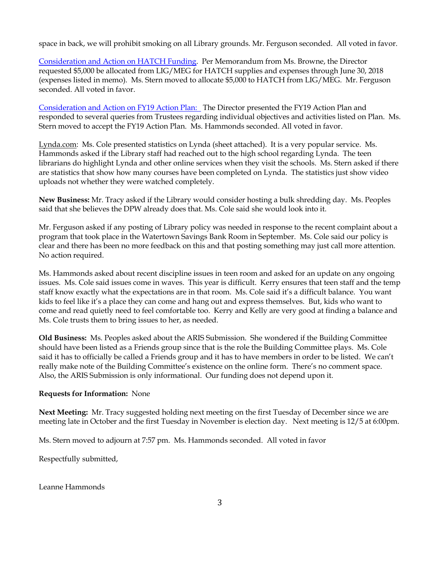space in back, we will prohibit smoking on all Library grounds. Mr. Ferguson seconded. All voted in favor.

[Consideration and Action on HATCH Funding.](http://ci.watertown.ma.us/DocumentCenter/View/23897) Per Memorandum from Ms. Browne, the Director requested \$5,000 be allocated from LIG/MEG for HATCH supplies and expenses through June 30, 2018 (expenses listed in memo). Ms. Stern moved to allocate \$5,000 to HATCH from LIG/MEG. Mr. Ferguson seconded. All voted in favor.

[Consideration and Action on FY19 Action Plan:](http://ci.watertown.ma.us/DocumentCenter/View/23893) The Director presented the FY19 Action Plan and responded to several queries from Trustees regarding individual objectives and activities listed on Plan. Ms. Stern moved to accept the FY19 Action Plan. Ms. Hammonds seconded. All voted in favor.

Lynda.com: Ms. Cole presented statistics on Lynda (sheet attached). It is a very popular service. Ms. Hammonds asked if the Library staff had reached out to the high school regarding Lynda. The teen librarians do highlight Lynda and other online services when they visit the schools. Ms. Stern asked if there are statistics that show how many courses have been completed on Lynda. The statistics just show video uploads not whether they were watched completely.

**New Business:** Mr. Tracy asked if the Library would consider hosting a bulk shredding day. Ms. Peoples said that she believes the DPW already does that. Ms. Cole said she would look into it.

Mr. Ferguson asked if any posting of Library policy was needed in response to the recent complaint about a program that took place in the Watertown Savings Bank Room in September. Ms. Cole said our policy is clear and there has been no more feedback on this and that posting something may just call more attention. No action required.

Ms. Hammonds asked about recent discipline issues in teen room and asked for an update on any ongoing issues. Ms. Cole said issues come in waves. This year is difficult. Kerry ensures that teen staff and the temp staff know exactly what the expectations are in that room. Ms. Cole said it's a difficult balance. You want kids to feel like it's a place they can come and hang out and express themselves. But, kids who want to come and read quietly need to feel comfortable too. Kerry and Kelly are very good at finding a balance and Ms. Cole trusts them to bring issues to her, as needed.

**Old Business:** Ms. Peoples asked about the ARIS Submission. She wondered if the Building Committee should have been listed as a Friends group since that is the role the Building Committee plays. Ms. Cole said it has to officially be called a Friends group and it has to have members in order to be listed. We can't really make note of the Building Committee's existence on the online form. There's no comment space. Also, the ARIS Submission is only informational. Our funding does not depend upon it.

## **Requests for Information:** None

**Next Meeting:** Mr. Tracy suggested holding next meeting on the first Tuesday of December since we are meeting late in October and the first Tuesday in November is election day. Next meeting is 12/5 at 6:00pm.

Ms. Stern moved to adjourn at 7:57 pm. Ms. Hammonds seconded. All voted in favor

Respectfully submitted,

Leanne Hammonds